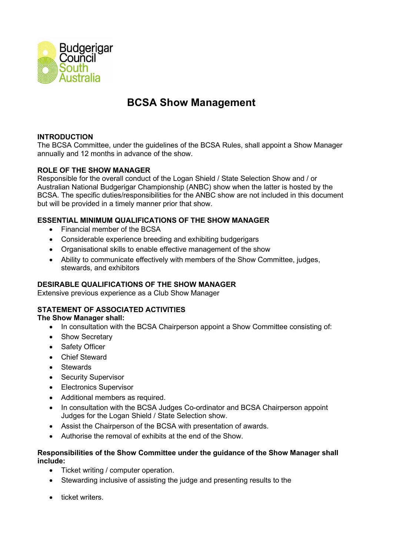

# **BCSA Show Management**

# **INTRODUCTION**

The BCSA Committee, under the guidelines of the BCSA Rules, shall appoint a Show Manager annually and 12 months in advance of the show.

# **ROLE OF THE SHOW MANAGER**

Responsible for the overall conduct of the Logan Shield / State Selection Show and / or Australian National Budgerigar Championship (ANBC) show when the latter is hosted by the BCSA. The specific duties/responsibilities for the ANBC show are not included in this document but will be provided in a timely manner prior that show.

# **ESSENTIAL MINIMUM QUALIFICATIONS OF THE SHOW MANAGER**

- Financial member of the BCSA
- Considerable experience breeding and exhibiting budgerigars
- Organisational skills to enable effective management of the show
- Ability to communicate effectively with members of the Show Committee, judges, stewards, and exhibitors

#### **DESIRABLE QUALIFICATIONS OF THE SHOW MANAGER**

Extensive previous experience as a Club Show Manager

# **STATEMENT OF ASSOCIATED ACTIVITIES**

#### **The Show Manager shall:**

- In consultation with the BCSA Chairperson appoint a Show Committee consisting of:
- Show Secretary
- Safety Officer
- Chief Steward
- Stewards
- Security Supervisor
- Electronics Supervisor
- Additional members as required.
- In consultation with the BCSA Judges Co-ordinator and BCSA Chairperson appoint Judges for the Logan Shield / State Selection show.
- Assist the Chairperson of the BCSA with presentation of awards.
- Authorise the removal of exhibits at the end of the Show.

#### **Responsibilities of the Show Committee under the guidance of the Show Manager shall include:**

- Ticket writing / computer operation.
- Stewarding inclusive of assisting the judge and presenting results to the
- ticket writers.